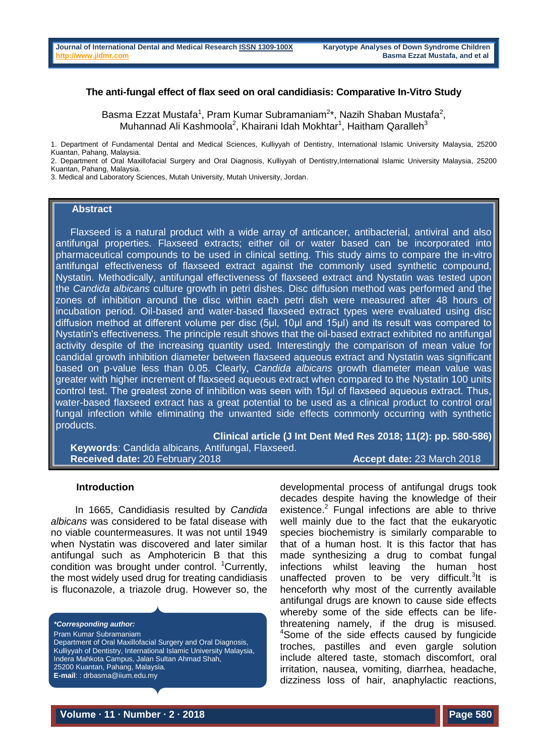#### **The anti-fungal effect of flax seed on oral candidiasis: Comparative In-Vitro Study**

Basma Ezzat Mustafa<sup>1</sup>, Pram Kumar Subramaniam<sup>2\*</sup>, Nazih Shaban Mustafa<sup>2</sup>, Muhannad Ali Kashmoola<sup>2</sup>, Khairani Idah Mokhtar<sup>1</sup>, Haitham Qaralleh<sup>3</sup>

1. Department of Fundamental Dental and Medical Sciences, Kulliyyah of Dentistry, International Islamic University Malaysia, 25200 Kuantan, Pahang, Malaysia.

2. Department of Oral Maxillofacial Surgery and Oral Diagnosis, Kulliyyah of Dentistry,International Islamic University Malaysia, 25200 Kuantan, Pahang, Malaysia.

3. Medical and Laboratory Sciences, Mutah University, Mutah University, Jordan.

#### **Abstract**

Flaxseed is a natural product with a wide array of anticancer, antibacterial, antiviral and also antifungal properties. Flaxseed extracts; either oil or water based can be incorporated into pharmaceutical compounds to be used in clinical setting. This study aims to compare the in-vitro antifungal effectiveness of flaxseed extract against the commonly used synthetic compound, Nystatin. Methodically, antifungal effectiveness of flaxseed extract and Nystatin was tested upon the *Candida albicans* culture growth in petri dishes. Disc diffusion method was performed and the zones of inhibition around the disc within each petri dish were measured after 48 hours of incubation period. Oil-based and water-based flaxseed extract types were evaluated using disc diffusion method at different volume per disc (5µl, 10µl and 15µl) and its result was compared to Nystatin's effectiveness. The principle result shows that the oil-based extract exhibited no antifungal activity despite of the increasing quantity used. Interestingly the comparison of mean value for candidal growth inhibition diameter between flaxseed aqueous extract and Nystatin was significant based on p-value less than 0.05. Clearly, *Candida albicans* growth diameter mean value was greater with higher increment of flaxseed aqueous extract when compared to the Nystatin 100 units control test. The greatest zone of inhibition was seen with 15μl of flaxseed aqueous extract. Thus, water-based flaxseed extract has a great potential to be used as a clinical product to control oral fungal infection while eliminating the unwanted side effects commonly occurring with synthetic products.

**Clinical article (J Int Dent Med Res 2018; 11(2): pp. 580-586) Keywords**: Candida albicans, Antifungal, Flaxseed. **Received date:** 20 February 2018 **Accept date:** 23 March 2018

#### **Introduction**

 In 1665, Candidiasis resulted by *Candida albicans* was considered to be fatal disease with no viable countermeasures. It was not until 1949 when Nystatin was discovered and later similar antifungal such as Amphotericin B that this condition was brought under control. <sup>1</sup>Currently, the most widely used drug for treating candidiasis is fluconazole, a triazole drug. However so, the

*\*Corresponding author:* Pram Kumar Subramaniam Department of Oral Maxillofacial Surgery and Oral Diagnosis, Kulliyyah of Dentistry, International Islamic University Malaysia, Indera Mahkota Campus, Jalan Sultan Ahmad Shah, 25200 Kuantan, Pahang, Malaysia. **E-mail**: : drbasma@iium.edu.my

developmental process of antifungal drugs took decades despite having the knowledge of their existence. $2$  Fungal infections are able to thrive well mainly due to the fact that the eukaryotic species biochemistry is similarly comparable to that of a human host. It is this factor that has made synthesizing a drug to combat fungal infections whilst leaving the human host unaffected proven to be very difficult.<sup>3</sup>It is henceforth why most of the currently available antifungal drugs are known to cause side effects whereby some of the side effects can be lifethreatening namely, if the drug is misused. <sup>4</sup>Some of the side effects caused by fungicide troches, pastilles and even gargle solution include altered taste, stomach discomfort, oral irritation, nausea, vomiting, diarrhea, headache, dizziness loss of hair, anaphylactic reactions,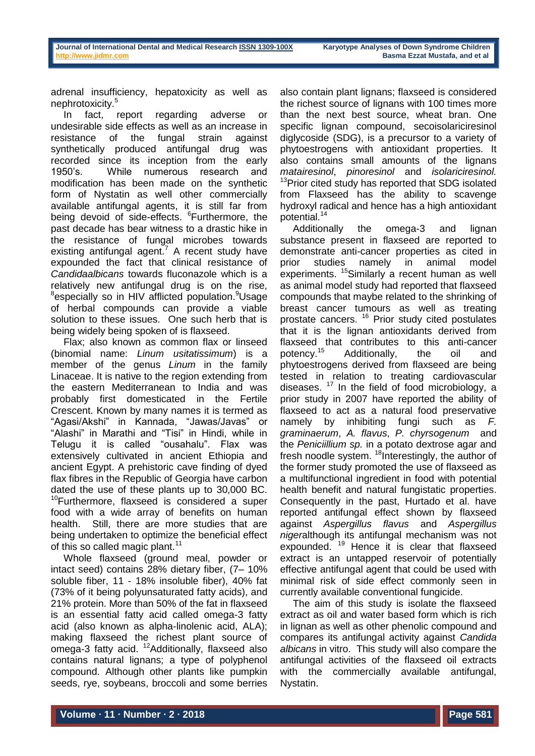adrenal insufficiency, hepatoxicity as well as nephrotoxicity.<sup>5</sup>

In fact, report regarding adverse or undesirable side effects as well as an increase in resistance of the fungal strain against synthetically produced antifungal drug was recorded since its inception from the early 1950's. While numerous research and modification has been made on the synthetic form of Nystatin as well other commercially available antifungal agents, it is still far from being devoid of side-effects. <sup>6</sup>Furthermore, the past decade has bear witness to a drastic hike in the resistance of fungal microbes towards existing antifungal agent.<sup>7</sup> A recent study have expounded the fact that clinical resistance of *Candidaalbicans* towards fluconazole which is a relatively new antifungal drug is on the rise, <sup>8</sup>especially so in HIV afflicted population.<sup>9</sup>Usage of herbal compounds can provide a viable solution to these issues. One such herb that is being widely being spoken of is flaxseed.

Flax; also known as common flax or linseed (binomial name: *Linum usitatissimum*) is a member of the genus *Linum* in the family Linaceae. It is native to the region extending from the eastern [Mediterranean](http://en.wikipedia.org/wiki/Mediterranean_region) to [India](http://en.wikipedia.org/wiki/India) and was probably first domesticated in the [Fertile](http://en.wikipedia.org/wiki/Fertile_Crescent)  [Crescent.](http://en.wikipedia.org/wiki/Fertile_Crescent) Known by many names it is termed as "Agasi/Akshi" in Kannada, "Jawas/Javas" or "Alashi" in Marathi and "Tisi" in Hindi, while in Telugu it is called "ousahalu". Flax was extensively cultivated in ancient [Ethiopia](http://en.wikipedia.org/wiki/Ethiopia) and [ancient Egypt.](http://en.wikipedia.org/wiki/Ancient_Egypt) A prehistoric cave finding of dyed flax fibres in the Republic of Georgia have carbon dated the use of these plants up to 30,000 BC. <sup>10</sup>Furthermore, flaxseed is considered a super food with a wide array of benefits on human health. Still, there are more studies that are being undertaken to optimize the beneficial effect of this so called magic plant. $11$ 

Whole flaxseed (ground meal, powder or intact seed) contains 28% dietary fiber, (7– 10% soluble fiber, 11 - 18% insoluble fiber), 40% fat (73% of it being polyunsaturated fatty acids), and 21% protein. More than 50% of the fat in flaxseed is an essential fatty acid called omega-3 fatty acid (also known as alpha-linolenic acid, ALA); making flaxseed the richest plant source of omega-3 fatty acid. <sup>12</sup>Additionally, flaxseed also contains natural lignans; a type of polyphenol compound. Although other plants like pumpkin seeds, rye, soybeans, broccoli and some berries

also contain plant lignans; flaxseed is considered the richest source of lignans with 100 times more than the next best source, wheat bran. One specific lignan compound, secoisolariciresinol diglycoside (SDG), is a precursor to a variety of phytoestrogens with antioxidant properties. It also contains small amounts of the lignans *matairesinol*, *pinoresinol* and *isolariciresinol.*  <sup>13</sup>Prior cited study has reported that SDG isolated from Flaxseed has the ability to scavenge hydroxyl radical and hence has a high antioxidant potential.<sup>14</sup>

Additionally the omega-3 and lignan substance present in flaxseed are reported to demonstrate anti-cancer properties as cited in prior studies namely in animal model experiments. <sup>15</sup>Similarly a recent human as well as animal model study had reported that flaxseed compounds that maybe related to the shrinking of breast cancer tumours as well as treating prostate cancers. <sup>16</sup> Prior study cited postulates that it is the lignan antioxidants derived from flaxseed that contributes to this anti-cancer potency.<sup>15</sup> Additionally, the oil and phytoestrogens derived from flaxseed are being tested in relation to treating cardiovascular diseases.  $17$  In the field of food microbiology, a prior study in 2007 have reported the ability of flaxseed to act as a natural food preservative namely by inhibiting fungi such as *F. graminaerum*, *A. flavus*, *P. chyrsogenum* and the *Peniciillium sp.* in a potato dextrose agar and fresh noodle system. <sup>18</sup>Interestingly, the author of the former study promoted the use of flaxseed as a multifunctional ingredient in food with potential health benefit and natural fungistatic properties. Consequently in the past, Hurtado et al. have reported antifungal effect shown by flaxseed against *Aspergillus flavus* and *Aspergillus niger*although its antifungal mechanism was not expounded. <sup>19</sup> Hence it is clear that flaxseed extract is an untapped reservoir of potentially effective antifungal agent that could be used with minimal risk of side effect commonly seen in currently available conventional fungicide.

The aim of this study is isolate the flaxseed extract as oil and water based form which is rich in lignan as well as other phenolic compound and compares its antifungal activity against *Candida albicans* in vitro. This study will also compare the antifungal activities of the flaxseed oil extracts with the commercially available antifungal, Nystatin.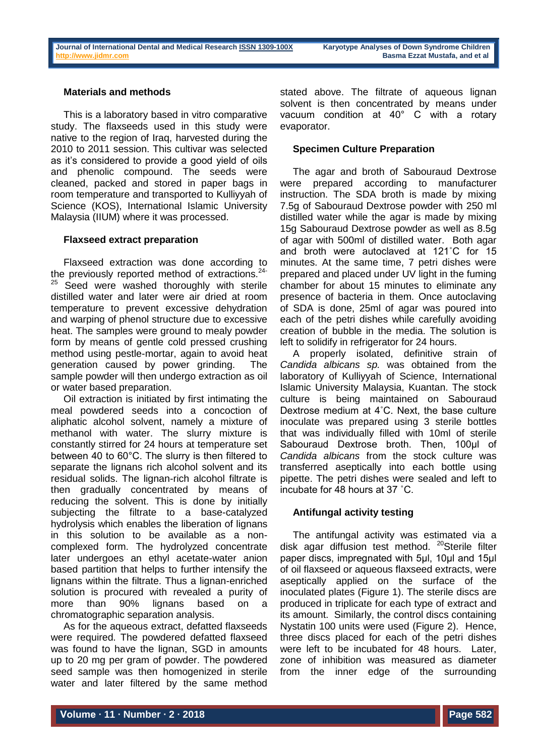## **Materials and methods**

This is a laboratory based in vitro comparative study. The flaxseeds used in this study were native to the region of Iraq, harvested during the 2010 to 2011 session. This cultivar was selected as it's considered to provide a good yield of oils and phenolic compound. The seeds were cleaned, packed and stored in paper bags in room temperature and transported to Kulliyyah of Science (KOS), International Islamic University Malaysia (IIUM) where it was processed.

#### **Flaxseed extract preparation**

Flaxseed extraction was done according to the previously reported method of extractions.<sup>24-</sup> Seed were washed thoroughly with sterile distilled water and later were air dried at room temperature to prevent excessive dehydration and warping of phenol structure due to excessive heat. The samples were ground to mealy powder form by means of gentle cold pressed crushing method using pestle-mortar, again to avoid heat generation caused by power grinding. The sample powder will then undergo extraction as oil or water based preparation.

Oil extraction is initiated by first intimating the meal powdered seeds into a concoction of aliphatic alcohol solvent, namely a mixture of methanol with water. The slurry mixture is constantly stirred for 24 hours at temperature set between 40 to 60°C. The slurry is then filtered to separate the lignans rich alcohol solvent and its residual solids. The lignan-rich alcohol filtrate is then gradually concentrated by means of reducing the solvent. This is done by initially subjecting the filtrate to a base-catalyzed hydrolysis which enables the liberation of lignans in this solution to be available as a noncomplexed form. The hydrolyzed concentrate later undergoes an ethyl acetate-water anion based partition that helps to further intensify the lignans within the filtrate. Thus a lignan-enriched solution is procured with revealed a purity of more than 90% lignans based on a chromatographic separation analysis.

As for the aqueous extract, defatted flaxseeds were required. The powdered defatted flaxseed was found to have the lignan, SGD in amounts up to 20 mg per gram of powder. The powdered seed sample was then homogenized in sterile water and later filtered by the same method stated above. The filtrate of aqueous lignan solvent is then concentrated by means under vacuum condition at 40° C with a rotary evaporator.

## **Specimen Culture Preparation**

The agar and broth of Sabouraud Dextrose were prepared according to manufacturer instruction. The SDA broth is made by mixing 7.5g of Sabouraud Dextrose powder with 250 ml distilled water while the agar is made by mixing 15g Sabouraud Dextrose powder as well as 8.5g of agar with 500ml of distilled water. Both agar and broth were autoclaved at 121˚C for 15 minutes. At the same time, 7 petri dishes were prepared and placed under UV light in the fuming chamber for about 15 minutes to eliminate any presence of bacteria in them. Once autoclaving of SDA is done, 25ml of agar was poured into each of the petri dishes while carefully avoiding creation of bubble in the media. The solution is left to solidify in refrigerator for 24 hours.

A properly isolated, definitive strain of *Candida albicans sp.* was obtained from the laboratory of Kulliyyah of Science, International Islamic University Malaysia, Kuantan. The stock culture is being maintained on Sabouraud Dextrose medium at 4˚C. Next, the base culture inoculate was prepared using 3 sterile bottles that was individually filled with 10ml of sterile Sabouraud Dextrose broth. Then, 100µl of *Candida albicans* from the stock culture was transferred aseptically into each bottle using pipette. The petri dishes were sealed and left to incubate for 48 hours at 37 ˚C.

## **Antifungal activity testing**

The antifungal activity was estimated via a disk agar diffusion test method.  $20$ Sterile filter paper discs, impregnated with 5µl, 10µl and 15µl of oil flaxseed or aqueous flaxseed extracts, were aseptically applied on the surface of the inoculated plates (Figure 1). The sterile discs are produced in triplicate for each type of extract and its amount. Similarly, the control discs containing Nystatin 100 units were used (Figure 2). Hence, three discs placed for each of the petri dishes were left to be incubated for 48 hours. Later, zone of inhibition was measured as diameter from the inner edge of the surrounding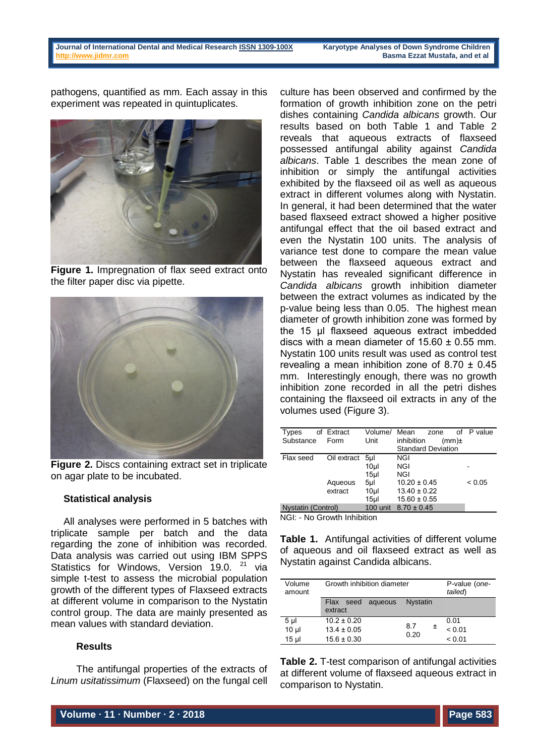pathogens, quantified as mm. Each assay in this experiment was repeated in quintuplicates.



**Figure 1.** Impregnation of flax seed extract onto the filter paper disc via pipette.



**Figure 2.** Discs containing extract set in triplicate on agar plate to be incubated.

## **Statistical analysis**

All analyses were performed in 5 batches with triplicate sample per batch and the data regarding the zone of inhibition was recorded. Data analysis was carried out using IBM SPPS Statistics for Windows, Version 19.0. <sup>21</sup> via simple t-test to assess the microbial population growth of the different types of Flaxseed extracts at different volume in comparison to the Nystatin control group. The data are mainly presented as mean values with standard deviation.

## **Results**

The antifungal properties of the extracts of *Linum usitatissimum* (Flaxseed) on the fungal cell culture has been observed and confirmed by the formation of growth inhibition zone on the petri dishes containing *Candida albicans* growth. Our results based on both Table 1 and Table 2 reveals that aqueous extracts of flaxseed possessed antifungal ability against *Candida albicans*. Table 1 describes the mean zone of inhibition or simply the antifungal activities exhibited by the flaxseed oil as well as aqueous extract in different volumes along with Nystatin. In general, it had been determined that the water based flaxseed extract showed a higher positive antifungal effect that the oil based extract and even the Nystatin 100 units. The analysis of variance test done to compare the mean value between the flaxseed aqueous extract and Nystatin has revealed significant difference in *Candida albicans* growth inhibition diameter between the extract volumes as indicated by the p-value being less than 0.05. The highest mean diameter of growth inhibition zone was formed by the 15 µl flaxseed aqueous extract imbedded discs with a mean diameter of  $15.60 \pm 0.55$  mm. Nystatin 100 units result was used as control test revealing a mean inhibition zone of  $8.70 \pm 0.45$ mm. Interestingly enough, there was no growth inhibition zone recorded in all the petri dishes containing the flaxseed oil extracts in any of the volumes used (Figure 3).

| Types                         | of Extract  | Volume/         | Mean                      | zone     | of P value |  |
|-------------------------------|-------------|-----------------|---------------------------|----------|------------|--|
| Substance                     | Form        | Unit            | inhibition                | $(mm)$ ± |            |  |
|                               |             |                 | <b>Standard Deviation</b> |          |            |  |
| Flax seed                     | Oil extract | 5ul             | NGI                       |          |            |  |
|                               |             | 10 <sub>µ</sub> | NGI                       |          |            |  |
|                               |             | 15ul            | NGI                       |          |            |  |
|                               | Aqueous     | 5µl             | $10.20 \pm 0.45$          |          | < 0.05     |  |
|                               | extract     | 10 <sub>µ</sub> | $13.40 \pm 0.22$          |          |            |  |
|                               |             | 15 <sub>µ</sub> | $15.60 \pm 0.55$          |          |            |  |
| Nystatin (Control)            |             | $100$ unit      | $8.70 \pm 0.45$           |          |            |  |
| $NGI:$ - No Growth Inhibition |             |                 |                           |          |            |  |

NGI: - No Growth Inhibition

**Table 1.** Antifungal activities of different volume of aqueous and oil flaxseed extract as well as Nystatin against Candida albicans.

| Volume<br>amount | Growth inhibition diameter         | P-value (one-<br>tailed) |        |
|------------------|------------------------------------|--------------------------|--------|
|                  | seed<br>Flax<br>aqueous<br>extract | <b>Nystatin</b>          |        |
| 5 <sub>µ</sub>   | $10.2 \pm 0.20$                    |                          | 0.01   |
| 10 <sub>µ</sub>  | $13.4 \pm 0.05$                    | 87<br>土                  | < 0.01 |
| 15 <sub>µ</sub>  | $15.6 \pm 0.30$                    | 0.20                     | < 0.01 |

**Table 2.** T-test comparison of antifungal activities at different volume of flaxseed aqueous extract in comparison to Nystatin.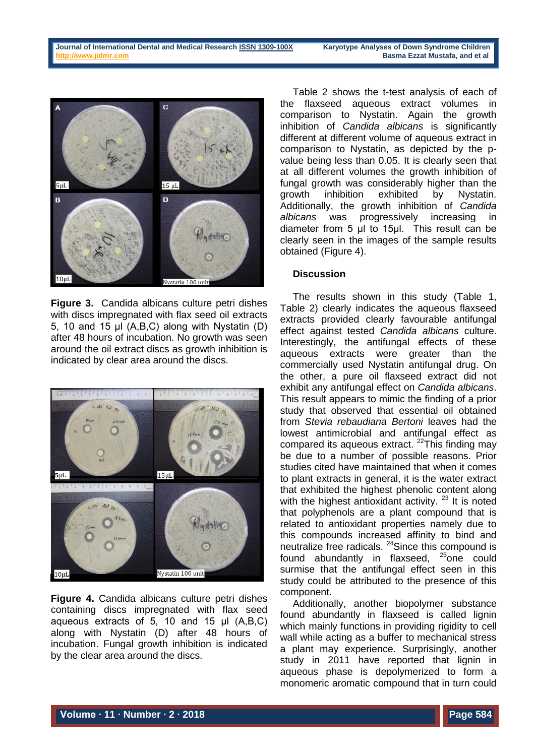

**Figure 3.** Candida albicans culture petri dishes with discs impregnated with flax seed oil extracts 5, 10 and 15 µl (A,B,C) along with Nystatin (D) after 48 hours of incubation. No growth was seen around the oil extract discs as growth inhibition is indicated by clear area around the discs.



**Figure 4.** Candida albicans culture petri dishes containing discs impregnated with flax seed aqueous extracts of 5, 10 and 15 µl (A,B,C) along with Nystatin (D) after 48 hours of incubation. Fungal growth inhibition is indicated by the clear area around the discs.

Table 2 shows the t-test analysis of each of the flaxseed aqueous extract volumes in comparison to Nystatin. Again the growth inhibition of *Candida albicans* is significantly different at different volume of aqueous extract in comparison to Nystatin, as depicted by the pvalue being less than 0.05. It is clearly seen that at all different volumes the growth inhibition of fungal growth was considerably higher than the growth inhibition exhibited by Nystatin. Additionally, the growth inhibition of *Candida albicans* was progressively increasing in diameter from 5 µl to 15µl. This result can be clearly seen in the images of the sample results obtained (Figure 4).

# **Discussion**

The results shown in this study (Table 1, Table 2) clearly indicates the aqueous flaxseed extracts provided clearly favourable antifungal effect against tested *Candida albicans* culture. Interestingly, the antifungal effects of these aqueous extracts were greater than the commercially used Nystatin antifungal drug. On the other, a pure oil flaxseed extract did not exhibit any antifungal effect on *Candida albicans*. This result appears to mimic the finding of a prior study that observed that essential oil obtained from *Stevia rebaudiana Bertoni* leaves had the lowest antimicrobial and antifungal effect as compared its aqueous extract.  $^{22}$ This finding may be due to a number of possible reasons. Prior studies cited have maintained that when it comes to plant extracts in general, it is the water extract that exhibited the highest phenolic content along with the highest antioxidant activity.<sup>23</sup> It is noted that polyphenols are a plant compound that is related to antioxidant properties namely due to this compounds increased affinity to bind and neutralize free radicals. <sup>24</sup>Since this compound is found abundantly in flaxseed,  $25$  one could surmise that the antifungal effect seen in this study could be attributed to the presence of this component.

Additionally, another biopolymer substance found abundantly in flaxseed is called lignin which mainly functions in providing rigidity to cell wall while acting as a buffer to mechanical stress a plant may experience. Surprisingly, another study in 2011 have reported that lignin in aqueous phase is depolymerized to form a monomeric aromatic compound that in turn could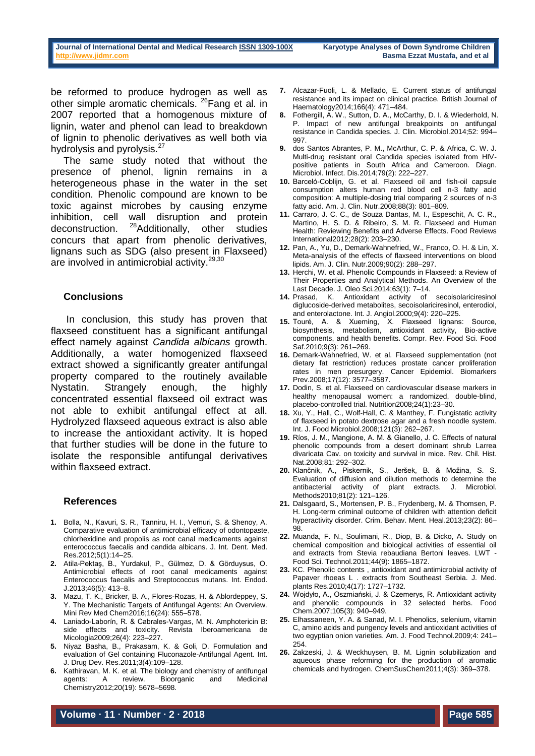be reformed to produce hydrogen as well as other simple aromatic chemicals. <sup>26</sup>Fang et al. in 2007 reported that a homogenous mixture of lignin, water and phenol can lead to breakdown of lignin to phenolic derivatives as well both via hydrolysis and pyrolysis.<sup>27</sup>

The same study noted that without the presence of phenol, lignin remains in a heterogeneous phase in the water in the set condition. Phenolic compound are known to be toxic against microbes by causing enzyme inhibition, cell wall disruption and protein deconstruction. <sup>28</sup>Additionally, other studies concurs that apart from phenolic derivatives, lignans such as SDG (also present in Flaxseed) are involved in antimicrobial activity.<sup>29,30</sup>

#### **Conclusions**

In conclusion, this study has proven that flaxseed constituent has a significant antifungal effect namely against *Candida albicans* growth. Additionally, a water homogenized flaxseed extract showed a significantly greater antifungal property compared to the routinely available Nystatin. Strangely enough, the highly concentrated essential flaxseed oil extract was not able to exhibit antifungal effect at all. Hydrolyzed flaxseed aqueous extract is also able to increase the antioxidant activity. It is hoped that further studies will be done in the future to isolate the responsible antifungal derivatives within flaxseed extract.

#### **References**

- **1.** Bolla, N., Kavuri, S. R., Tanniru, H. I., Vemuri, S. & Shenoy, A. Comparative evaluation of antimicrobial efficacy of odontopaste, chlorhexidine and propolis as root canal medicaments against enterococcus faecalis and candida albicans. J. Int. Dent. Med. Res.2012;5(1):14–25.
- **2.** Atila-Pektaş, B., Yurdakul, P., Gülmez, D. & Görduysus, O. Antimicrobial effects of root canal medicaments against Enterococcus faecalis and Streptococcus mutans. Int. Endod. J.2013;46(5): 413–8.
- **3.** Mazu, T. K., Bricker, B. A., Flores-Rozas, H. & Ablordeppey, S. Y. The Mechanistic Targets of Antifungal Agents: An Overview. Mini Rev Med Chem2016;16(24): 555–578.
- **4.** Laniado-Laborín, R. & Cabrales-Vargas, M. N. Amphotericin B: side effects and toxicity. Revista Iberoamericana de Micologia2009;26(4): 223-227.
- **5.** Niyaz Basha, B., Prakasam, K. & Goli, D. Formulation and evaluation of Gel containing Fluconazole-Antifungal Agent. Int. J. Drug Dev. Res.2011;3(4):109–128.
- **6.** Kathiravan, M. K. et al. The biology and chemistry of antifungal agents: A review. Bioorganic and Medicinal Chemistry2012;20(19): 5678–5698.
- **7.** Alcazar-Fuoli, L. & Mellado, E. Current status of antifungal resistance and its impact on clinical practice. British Journal of Haematology2014;166(4): 471–484.
- **8.** Fothergill, A. W., Sutton, D. A., McCarthy, D. I. & Wiederhold, N. P. Impact of new antifungal breakpoints on antifungal resistance in Candida species. J. Clin. Microbiol.2014;52: 994– 997.
- **9.** dos Santos Abrantes, P. M., McArthur, C. P. & Africa, C. W. J. Multi-drug resistant oral Candida species isolated from HIVpositive patients in South Africa and Cameroon. Diagn. Microbiol. Infect. Dis.2014;79(2): 222–227.
- **10.** Barceló-Coblijn, G. et al. Flaxseed oil and fish-oil capsule consumption alters human red blood cell n-3 fatty acid composition: A multiple-dosing trial comparing 2 sources of n-3 fatty acid. Am. J. Clin. Nutr.2008;88(3): 801–809.
- **11.** Carraro, J. C. C., de Souza Dantas, M. I., Espeschit, A. C. R., Martino, H. S. D. & Ribeiro, S. M. R. Flaxseed and Human Health: Reviewing Benefits and Adverse Effects. Food Reviews International2012;28(2): 203–230.
- **12.** Pan, A., Yu, D., Demark-Wahnefried, W., Franco, O. H. & Lin, X. Meta-analysis of the effects of flaxseed interventions on blood lipids. Am. J. Clin. Nutr.2009;90(2): 288–297.
- **13.** Herchi, W. et al. Phenolic Compounds in Flaxseed: a Review of Their Properties and Analytical Methods. An Overview of the Last Decade. J. Oleo Sci.2014;63(1): 7–14.
- **14.** Prasad, K. Antioxidant activity of secoisolariciresinol diglucoside-derived metabolites, secoisolariciresinol, enterodiol, and enterolactone. Int. J. Angiol.2000;9(4): 220–225.
- **15.** Touré, A. & Xueming, X. Flaxseed lignans: Source, biosynthesis, metabolism, antioxidant activity, Bio-active components, and health benefits. Compr. Rev. Food Sci. Food Saf.2010;9(3): 261–269.
- **16.** Demark-Wahnefried, W. et al. Flaxseed supplementation (not dietary fat restriction) reduces prostate cancer proliferation rates in men presurgery. Cancer Epidemiol. Biomarkers Prev.2008;17(12): 3577–3587.
- **17.** Dodin, S. et al. Flaxseed on cardiovascular disease markers in healthy menopausal women: a randomized, double-blind, placebo-controlled trial. Nutrition2008;24(1):23–30.
- **18.** Xu, Y., Hall, C., Wolf-Hall, C. & Manthey, F. Fungistatic activity of flaxseed in potato dextrose agar and a fresh noodle system. Int. J. Food Microbiol.2008;121(3): 262–267.
- **19.** Ríos, J. M., Mangione, A. M. & Gianello, J. C. Effects of natural phenolic compounds from a desert dominant shrub Larrea divaricata Cav. on toxicity and survival in mice. Rev. Chil. Hist. Nat.2008;81: 292–302.
- **20.** Klančnik, A., Piskernik, S., Jeršek, B. & Možina, S. S. Evaluation of diffusion and dilution methods to determine the antibacterial activity of plant extracts. J. Microbiol. Methods2010;81(2): 121–126.
- **21.** Dalsgaard, S., Mortensen, P. B., Frydenberg, M. & Thomsen, P. H. Long-term criminal outcome of children with attention deficit hyperactivity disorder. Crim. Behav. Ment. Heal.2013;23(2): 86– 98.
- **22.** Muanda, F. N., Soulimani, R., Diop, B. & Dicko, A. Study on chemical composition and biological activities of essential oil and extracts from Stevia rebaudiana Bertoni leaves. LWT - Food Sci. Technol.2011;44(9): 1865–1872.
- **23.** KC. Phenolic contents , antioxidant and antimicrobial activity of Papaver rhoeas L . extracts from Southeast Serbia. J. Med. plants Res.2010;4(17): 1727–1732.
- **24.** Wojdyło, A., Oszmiański, J. & Czemerys, R. Antioxidant activity and phenolic compounds in 32 selected herbs. Food Chem.2007;105(3): 940–949.
- **25.** Elhassaneen, Y. A. & Sanad, M. I. Phenolics, selenium, vitamin C, amino acids and pungency levels and antioxidant activities of two egyptian onion varieties. Am. J. Food Technol.2009;4: 241– 254.
- **26.** Zakzeski, J. & Weckhuysen, B. M. Lignin solubilization and aqueous phase reforming for the production of aromatic chemicals and hydrogen. ChemSusChem2011;4(3): 369–378.

**Volume ∙ 11 ∙ Number ∙ 2 ∙ 2018 Page 585**